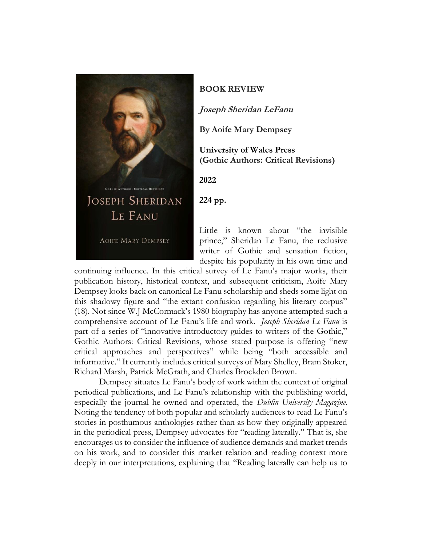

## **BOOK REVIEW**

**Joseph Sheridan LeFanu**

**By Aoife Mary Dempsey**

**University of Wales Press (Gothic Authors: Critical Revisions)**

**2022**

**224 pp.**

Little is known about "the invisible prince," Sheridan Le Fanu, the reclusive writer of Gothic and sensation fiction, despite his popularity in his own time and

continuing influence. In this critical survey of Le Fanu's major works, their publication history, historical context, and subsequent criticism, Aoife Mary Dempsey looks back on canonical Le Fanu scholarship and sheds some light on this shadowy figure and "the extant confusion regarding his literary corpus" (18). Not since W.J McCormack's 1980 biography has anyone attempted such a comprehensive account of Le Fanu's life and work. *Joseph Sheridan Le Fanu* is part of a series of "innovative introductory guides to writers of the Gothic," Gothic Authors: Critical Revisions, whose stated purpose is offering "new critical approaches and perspectives" while being "both accessible and informative." It currently includes critical surveys of Mary Shelley, Bram Stoker, Richard Marsh, Patrick McGrath, and Charles Brockden Brown.

Dempsey situates Le Fanu's body of work within the context of original periodical publications, and Le Fanu's relationship with the publishing world, especially the journal he owned and operated, the *Dublin University Magazine*. Noting the tendency of both popular and scholarly audiences to read Le Fanu's stories in posthumous anthologies rather than as how they originally appeared in the periodical press, Dempsey advocates for "reading laterally." That is, she encourages us to consider the influence of audience demands and market trends on his work, and to consider this market relation and reading context more deeply in our interpretations, explaining that "Reading laterally can help us to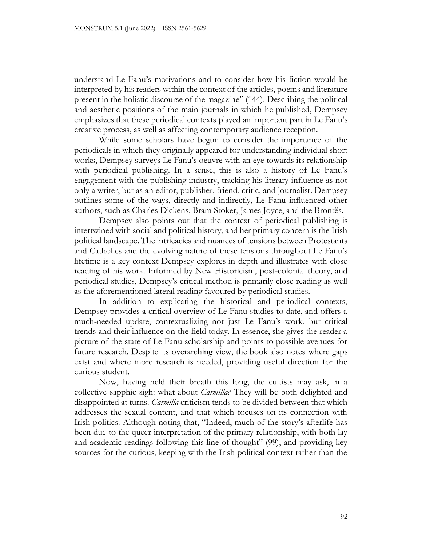understand Le Fanu's motivations and to consider how his fiction would be interpreted by his readers within the context of the articles, poems and literature present in the holistic discourse of the magazine" (144). Describing the political and aesthetic positions of the main journals in which he published, Dempsey emphasizes that these periodical contexts played an important part in Le Fanu's creative process, as well as affecting contemporary audience reception.

While some scholars have begun to consider the importance of the periodicals in which they originally appeared for understanding individual short works, Dempsey surveys Le Fanu's oeuvre with an eye towards its relationship with periodical publishing. In a sense, this is also a history of Le Fanu's engagement with the publishing industry, tracking his literary influence as not only a writer, but as an editor, publisher, friend, critic, and journalist. Dempsey outlines some of the ways, directly and indirectly, Le Fanu influenced other authors, such as Charles Dickens, Bram Stoker, James Joyce, and the Brontës.

Dempsey also points out that the context of periodical publishing is intertwined with social and political history, and her primary concern is the Irish political landscape. The intricacies and nuances of tensions between Protestants and Catholics and the evolving nature of these tensions throughout Le Fanu's lifetime is a key context Dempsey explores in depth and illustrates with close reading of his work. Informed by New Historicism, post-colonial theory, and periodical studies, Dempsey's critical method is primarily close reading as well as the aforementioned lateral reading favoured by periodical studies.

In addition to explicating the historical and periodical contexts, Dempsey provides a critical overview of Le Fanu studies to date, and offers a much-needed update, contextualizing not just Le Fanu's work, but critical trends and their influence on the field today. In essence, she gives the reader a picture of the state of Le Fanu scholarship and points to possible avenues for future research. Despite its overarching view, the book also notes where gaps exist and where more research is needed, providing useful direction for the curious student.

Now, having held their breath this long, the cultists may ask, in a collective sapphic sigh: what about *Carmilla*? They will be both delighted and disappointed at turns. *Carmilla* criticism tends to be divided between that which addresses the sexual content, and that which focuses on its connection with Irish politics. Although noting that, "Indeed, much of the story's afterlife has been due to the queer interpretation of the primary relationship, with both lay and academic readings following this line of thought" (99), and providing key sources for the curious, keeping with the Irish political context rather than the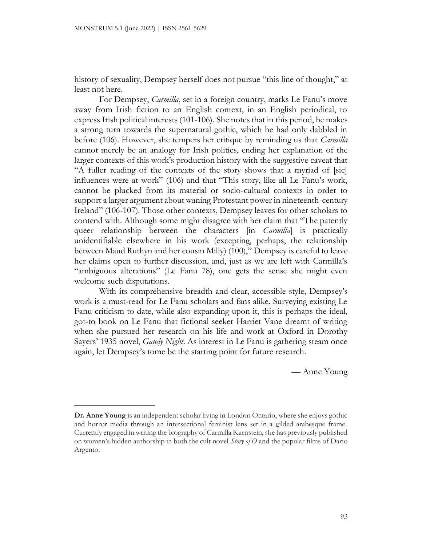\_\_\_\_\_\_\_\_\_\_\_\_\_\_\_\_\_\_

history of sexuality, Dempsey herself does not pursue "this line of thought," at least not here.

For Dempsey, *Carmilla*, set in a foreign country, marks Le Fanu's move away from Irish fiction to an English context, in an English periodical, to express Irish political interests (101-106). She notes that in this period, he makes a strong turn towards the supernatural gothic, which he had only dabbled in before (106). However, she tempers her critique by reminding us that *Carmilla* cannot merely be an analogy for Irish politics, ending her explanation of the larger contexts of this work's production history with the suggestive caveat that "A fuller reading of the contexts of the story shows that a myriad of [sic] influences were at work" (106) and that "This story, like all Le Fanu's work, cannot be plucked from its material or socio-cultural contexts in order to support a larger argument about waning Protestant power in nineteenth-century Ireland" (106-107). Those other contexts, Dempsey leaves for other scholars to contend with. Although some might disagree with her claim that "The patently queer relationship between the characters [in *Carmilla*] is practically unidentifiable elsewhere in his work (excepting, perhaps, the relationship between Maud Ruthyn and her cousin Milly) (100)," Dempsey is careful to leave her claims open to further discussion, and, just as we are left with Carmilla's "ambiguous alterations" (Le Fanu 78), one gets the sense she might even welcome such disputations.

With its comprehensive breadth and clear, accessible style, Dempsey's work is a must-read for Le Fanu scholars and fans alike. Surveying existing Le Fanu criticism to date, while also expanding upon it, this is perhaps the ideal, got-to book on Le Fanu that fictional seeker Harriet Vane dreamt of writing when she pursued her research on his life and work at Oxford in Dorothy Sayers' 1935 novel, *Gaudy Night*. As interest in Le Fanu is gathering steam once again, let Dempsey's tome be the starting point for future research.

— Anne Young

**Dr. Anne Young** is an independent scholar living in London Ontario, where she enjoys gothic and horror media through an intersectional feminist lens set in a gilded arabesque frame. Currently engaged in writing the biography of Carmilla Karnstein, she has previously published on women's hidden authorship in both the cult novel *Story of O* and the popular films of Dario Argento.